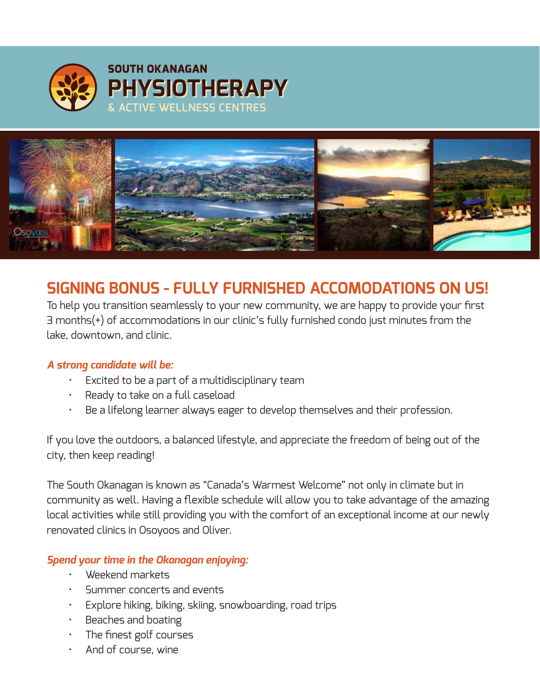



# **SIGNING BONUS - FULLY FURNISHED ACCOMODATIONS ON US!**

To help you transition seamlessly to your new community, we are happy to provide your first 3 months(+) of accommodations in our clinic's fully furnished condo just minutes from the lake, downtown, and clinic.

## *A strong candidate will be:*

- Excited to be a part of a multidisciplinary team
- Ready to take on a full caseload
- Be a lifelong learner always eager to develop themselves and their profession.

If you love the outdoors, a balanced lifestyle, and appreciate the freedom of being out of the city, then keep reading!

The South Okanagan is known as "Canada's Warmest Welcome" not only in climate but in community as well. Having a flexible schedule will allow you to take advantage of the amazing local activities while still providing you with the comfort of an exceptional income at our newly renovated clinics in Osoyoos and Oliver.

## *Spend your time in the Okanagan enjoying:*

- Weekend markets
- Summer concerts and events
- Explore hiking, biking, skiing, snowboarding, road trips
- Beaches and boating
- The finest golf courses
- And of course, wine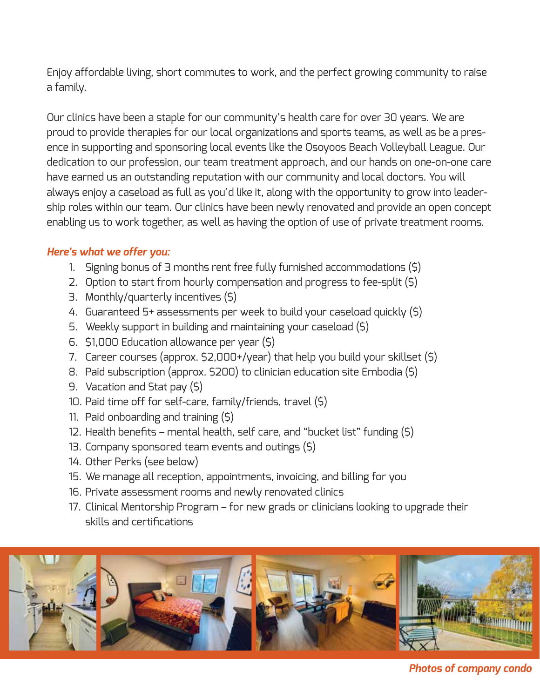Enjoy affordable living, short commutes to work, and the perfect growing community to raise a family.

Our clinics have been a staple for our community's health care for over 30 years. We are proud to provide therapies for our local organizations and sports teams, as well as be a presence in supporting and sponsoring local events like the Osoyoos Beach Volleyball League. Our dedication to our profession, our team treatment approach, and our hands on one-on-one care have earned us an outstanding reputation with our community and local doctors. You will always enjoy a caseload as full as you'd like it, along with the opportunity to grow into leadership roles within our team. Our clinics have been newly renovated and provide an open concept enabling us to work together, as well as having the option of use of private treatment rooms.

### *Here's what we offer you:*

- 1. Signing bonus of 3 months rent free fully furnished accommodations (\$)
- 2. Option to start from hourly compensation and progress to fee-split (\$)
- 3. Monthly/quarterly incentives (\$)
- 4. Guaranteed 5+ assessments per week to build your caseload quickly (\$)
- 5. Weekly support in building and maintaining your caseload (\$)
- 6. \$1,000 Education allowance per year (\$)
- 7. Career courses (approx. \$2,000+/year) that help you build your skillset (\$)
- 8. Paid subscription (approx. \$200) to clinician education site Embodia (\$)
- 9. Vacation and Stat pay (\$)
- 10. Paid time off for self-care, family/friends, travel (\$)
- 11. Paid onboarding and training (\$)
- 12. Health benefits mental health, self care, and "bucket list" funding (\$)
- 13. Company sponsored team events and outings (\$)
- 14. Other Perks (see below)
- 15. We manage all reception, appointments, invoicing, and billing for you
- 16. Private assessment rooms and newly renovated clinics
- 17. Clinical Mentorship Program for new grads or clinicians looking to upgrade their skills and certifications



*Photos of company condo*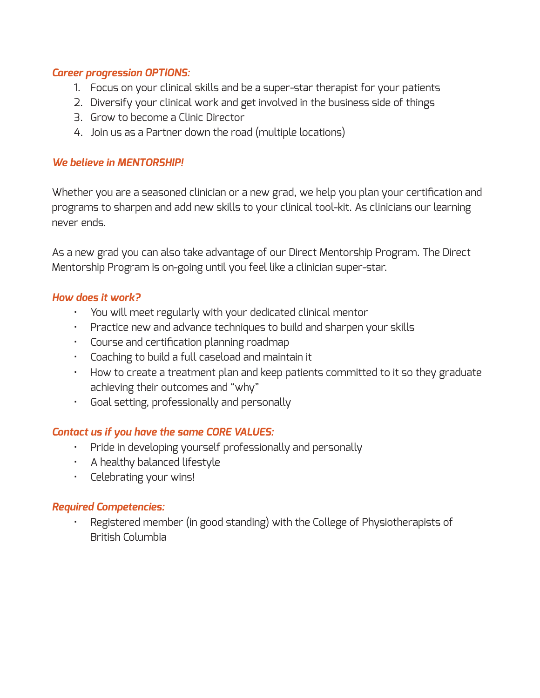#### *Career progression OPTIONS:*

- 1. Focus on your clinical skills and be a super-star therapist for your patients
- 2. Diversify your clinical work and get involved in the business side of things
- 3. Grow to become a Clinic Director
- 4. Join us as a Partner down the road (multiple locations)

#### *We believe in MENTORSHIP!*

Whether you are a seasoned clinician or a new grad, we help you plan your certification and programs to sharpen and add new skills to your clinical tool-kit. As clinicians our learning never ends.

As a new grad you can also take advantage of our Direct Mentorship Program. The Direct Mentorship Program is on-going until you feel like a clinician super-star.

#### *How does it work?*

- You will meet regularly with your dedicated clinical mentor
- Practice new and advance techniques to build and sharpen your skills
- Course and certification planning roadmap
- Coaching to build a full caseload and maintain it
- How to create a treatment plan and keep patients committed to it so they graduate achieving their outcomes and "why"
- Goal setting, professionally and personally

#### *Contact us if you have the same CORE VALUES:*

- Pride in developing yourself professionally and personally
- A healthy balanced lifestyle
- Celebrating your wins!

#### *Required Competencies:*

 • Registered member (in good standing) with the College of Physiotherapists of British Columbia